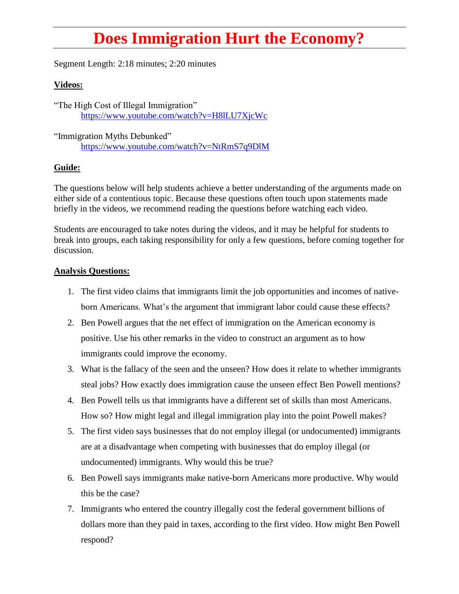## **Does Immigration Hurt the Economy?**

Segment Length: 2:18 minutes; 2:20 minutes

## **Videos:**

"The High Cost of Illegal Immigration" <https://www.youtube.com/watch?v=H8lLU7XjcWc>

"Immigration Myths Debunked" <https://www.youtube.com/watch?v=NtRmS7q9DlM>

## **Guide:**

The questions below will help students achieve a better understanding of the arguments made on either side of a contentious topic. Because these questions often touch upon statements made briefly in the videos, we recommend reading the questions before watching each video.

Students are encouraged to take notes during the videos, and it may be helpful for students to break into groups, each taking responsibility for only a few questions, before coming together for discussion.

## **Analysis Questions:**

- 1. The first video claims that immigrants limit the job opportunities and incomes of nativeborn Americans. What's the argument that immigrant labor could cause these effects?
- 2. Ben Powell argues that the net effect of immigration on the American economy is positive. Use his other remarks in the video to construct an argument as to how immigrants could improve the economy.
- 3. What is the fallacy of the seen and the unseen? How does it relate to whether immigrants steal jobs? How exactly does immigration cause the unseen effect Ben Powell mentions?
- 4. Ben Powell tells us that immigrants have a different set of skills than most Americans. How so? How might legal and illegal immigration play into the point Powell makes?
- 5. The first video says businesses that do not employ illegal (or undocumented) immigrants are at a disadvantage when competing with businesses that do employ illegal (or undocumented) immigrants. Why would this be true?
- 6. Ben Powell says immigrants make native-born Americans more productive. Why would this be the case?
- 7. Immigrants who entered the country illegally cost the federal government billions of dollars more than they paid in taxes, according to the first video. How might Ben Powell respond?